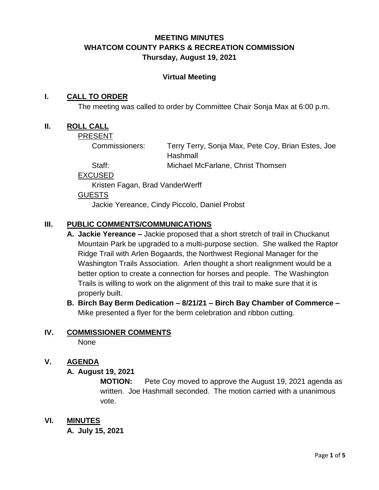# **MEETING MINUTES WHATCOM COUNTY PARKS & RECREATION COMMISSION Thursday, August 19, 2021**

#### **Virtual Meeting**

#### **I. CALL TO ORDER**

The meeting was called to order by Committee Chair Sonja Max at 6:00 p.m.

#### **II. ROLL CALL**

PRESENT

Commissioners: Terry Terry, Sonja Max, Pete Coy, Brian Estes, Joe **Hashmall** 

Staff: Michael McFarlane, Christ Thomsen

EXCUSED

Kristen Fagan, Brad VanderWerff

GUESTS

Jackie Yereance, Cindy Piccolo, Daniel Probst

### **III. PUBLIC COMMENTS/COMMUNICATIONS**

- **A. Jackie Yereance –** Jackie proposed that a short stretch of trail in Chuckanut Mountain Park be upgraded to a multi-purpose section. She walked the Raptor Ridge Trail with Arlen Bogaards, the Northwest Regional Manager for the Washington Trails Association. Arlen thought a short realignment would be a better option to create a connection for horses and people. The Washington Trails is willing to work on the alignment of this trail to make sure that it is properly built.
- **B. Birch Bay Berm Dedication – 8/21/21 – Birch Bay Chamber of Commerce –** Mike presented a flyer for the berm celebration and ribbon cutting.

#### **IV. COMMISSIONER COMMENTS**

None

# **V. AGENDA**

#### **A. August 19, 2021**

**MOTION:** Pete Coy moved to approve the August 19, 2021 agenda as written. Joe Hashmall seconded. The motion carried with a unanimous vote.

**VI. MINUTES**

**A. July 15, 2021**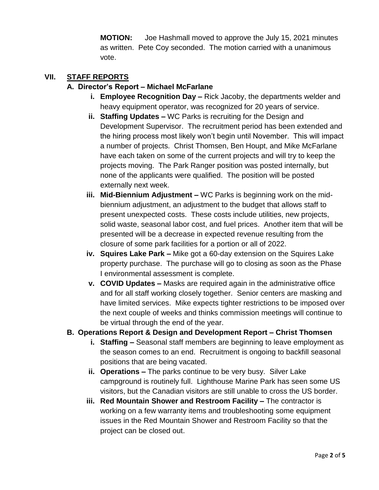**MOTION:** Joe Hashmall moved to approve the July 15, 2021 minutes as written. Pete Coy seconded. The motion carried with a unanimous vote.

### **VII. STAFF REPORTS**

## **A. Director's Report – Michael McFarlane**

- **i. Employee Recognition Day –** Rick Jacoby, the departments welder and heavy equipment operator, was recognized for 20 years of service.
- **ii. Staffing Updates –** WC Parks is recruiting for the Design and Development Supervisor. The recruitment period has been extended and the hiring process most likely won't begin until November. This will impact a number of projects. Christ Thomsen, Ben Houpt, and Mike McFarlane have each taken on some of the current projects and will try to keep the projects moving. The Park Ranger position was posted internally, but none of the applicants were qualified. The position will be posted externally next week.
- **iii. Mid-Biennium Adjustment –** WC Parks is beginning work on the midbiennium adjustment, an adjustment to the budget that allows staff to present unexpected costs. These costs include utilities, new projects, solid waste, seasonal labor cost, and fuel prices. Another item that will be presented will be a decrease in expected revenue resulting from the closure of some park facilities for a portion or all of 2022.
- **iv. Squires Lake Park –** Mike got a 60-day extension on the Squires Lake property purchase. The purchase will go to closing as soon as the Phase I environmental assessment is complete.
- **v. COVID Updates –** Masks are required again in the administrative office and for all staff working closely together. Senior centers are masking and have limited services. Mike expects tighter restrictions to be imposed over the next couple of weeks and thinks commission meetings will continue to be virtual through the end of the year.

# **B. Operations Report & Design and Development Report – Christ Thomsen**

- **i. Staffing –** Seasonal staff members are beginning to leave employment as the season comes to an end. Recruitment is ongoing to backfill seasonal positions that are being vacated.
- **ii. Operations –** The parks continue to be very busy. Silver Lake campground is routinely full. Lighthouse Marine Park has seen some US visitors, but the Canadian visitors are still unable to cross the US border.
- **iii. Red Mountain Shower and Restroom Facility –** The contractor is working on a few warranty items and troubleshooting some equipment issues in the Red Mountain Shower and Restroom Facility so that the project can be closed out.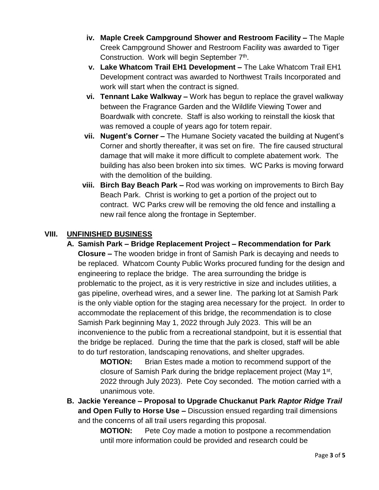- **iv. Maple Creek Campground Shower and Restroom Facility –** The Maple Creek Campground Shower and Restroom Facility was awarded to Tiger Construction. Work will begin September 7<sup>th</sup>.
- **v. Lake Whatcom Trail EH1 Development –** The Lake Whatcom Trail EH1 Development contract was awarded to Northwest Trails Incorporated and work will start when the contract is signed.
- **vi. Tennant Lake Walkway –** Work has begun to replace the gravel walkway between the Fragrance Garden and the Wildlife Viewing Tower and Boardwalk with concrete. Staff is also working to reinstall the kiosk that was removed a couple of years ago for totem repair.
- **vii. Nugent's Corner –** The Humane Society vacated the building at Nugent's Corner and shortly thereafter, it was set on fire. The fire caused structural damage that will make it more difficult to complete abatement work. The building has also been broken into six times. WC Parks is moving forward with the demolition of the building.
- **viii. Birch Bay Beach Park –** Rod was working on improvements to Birch Bay Beach Park. Christ is working to get a portion of the project out to contract. WC Parks crew will be removing the old fence and installing a new rail fence along the frontage in September.

# **VIII. UNFINISHED BUSINESS**

**A. Samish Park – Bridge Replacement Project – Recommendation for Park Closure –** The wooden bridge in front of Samish Park is decaying and needs to be replaced. Whatcom County Public Works procured funding for the design and engineering to replace the bridge. The area surrounding the bridge is problematic to the project, as it is very restrictive in size and includes utilities, a gas pipeline, overhead wires, and a sewer line. The parking lot at Samish Park is the only viable option for the staging area necessary for the project. In order to accommodate the replacement of this bridge, the recommendation is to close Samish Park beginning May 1, 2022 through July 2023. This will be an inconvenience to the public from a recreational standpoint, but it is essential that the bridge be replaced. During the time that the park is closed, staff will be able to do turf restoration, landscaping renovations, and shelter upgrades.

> **MOTION:** Brian Estes made a motion to recommend support of the closure of Samish Park during the bridge replacement project (May 1<sup>st</sup>, 2022 through July 2023). Pete Coy seconded. The motion carried with a unanimous vote.

**B. Jackie Yereance – Proposal to Upgrade Chuckanut Park** *Raptor Ridge Trail* **and Open Fully to Horse Use –** Discussion ensued regarding trail dimensions and the concerns of all trail users regarding this proposal.

> **MOTION:** Pete Coy made a motion to postpone a recommendation until more information could be provided and research could be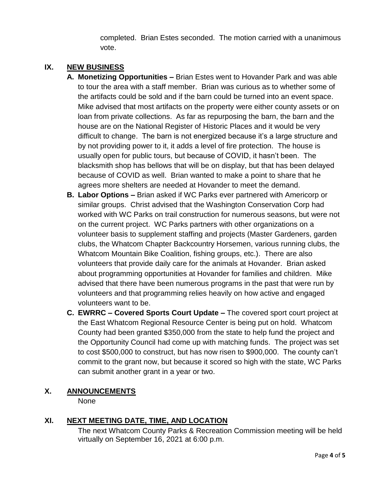completed. Brian Estes seconded. The motion carried with a unanimous vote.

# **IX. NEW BUSINESS**

- **A. Monetizing Opportunities –** Brian Estes went to Hovander Park and was able to tour the area with a staff member. Brian was curious as to whether some of the artifacts could be sold and if the barn could be turned into an event space. Mike advised that most artifacts on the property were either county assets or on loan from private collections. As far as repurposing the barn, the barn and the house are on the National Register of Historic Places and it would be very difficult to change. The barn is not energized because it's a large structure and by not providing power to it, it adds a level of fire protection. The house is usually open for public tours, but because of COVID, it hasn't been. The blacksmith shop has bellows that will be on display, but that has been delayed because of COVID as well. Brian wanted to make a point to share that he agrees more shelters are needed at Hovander to meet the demand.
- **B. Labor Options –** Brian asked if WC Parks ever partnered with Americorp or similar groups. Christ advised that the Washington Conservation Corp had worked with WC Parks on trail construction for numerous seasons, but were not on the current project. WC Parks partners with other organizations on a volunteer basis to supplement staffing and projects (Master Gardeners, garden clubs, the Whatcom Chapter Backcountry Horsemen, various running clubs, the Whatcom Mountain Bike Coalition, fishing groups, etc.). There are also volunteers that provide daily care for the animals at Hovander. Brian asked about programming opportunities at Hovander for families and children. Mike advised that there have been numerous programs in the past that were run by volunteers and that programming relies heavily on how active and engaged volunteers want to be.
- **C. EWRRC – Covered Sports Court Update –** The covered sport court project at the East Whatcom Regional Resource Center is being put on hold. Whatcom County had been granted \$350,000 from the state to help fund the project and the Opportunity Council had come up with matching funds. The project was set to cost \$500,000 to construct, but has now risen to \$900,000. The county can't commit to the grant now, but because it scored so high with the state, WC Parks can submit another grant in a year or two.

# **X. ANNOUNCEMENTS**

None

# **XI. NEXT MEETING DATE, TIME, AND LOCATION**

The next Whatcom County Parks & Recreation Commission meeting will be held virtually on September 16, 2021 at 6:00 p.m.